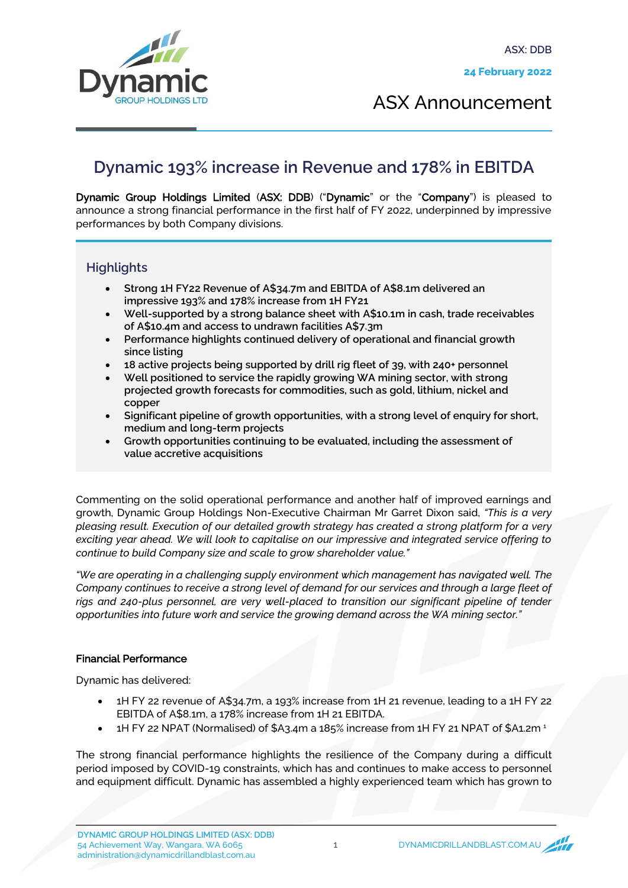

ASX Announcement

## **Dynamic 193% increase in Revenue and 178% in EBITDA**

Dynamic Group Holdings Limited (ASX: DDB) ("Dynamic" or the "Company") is pleased to announce a strong financial performance in the first half of FY 2022, underpinned by impressive performances by both Company divisions.

### **Highlights**

- **Strong 1H FY22 Revenue of A\$34.7m and EBITDA of A\$8.1m delivered an impressive 193% and 178% increase from 1H FY21**
- **Well-supported by a strong balance sheet with A\$10.1m in cash, trade receivables of A\$10.4m and access to undrawn facilities A\$7.3m**
- **Performance highlights continued delivery of operational and financial growth since listing**
- **18 active projects being supported by drill rig fleet of 39, with 240+ personnel**
- **Well positioned to service the rapidly growing WA mining sector, with strong projected growth forecasts for commodities, such as gold, lithium, nickel and copper**
- **Significant pipeline of growth opportunities, with a strong level of enquiry for short, medium and long-term projects**
- **Growth opportunities continuing to be evaluated, including the assessment of value accretive acquisitions**

Commenting on the solid operational performance and another half of improved earnings and growth, Dynamic Group Holdings Non-Executive Chairman Mr Garret Dixon said, *"This is a very pleasing result. Execution of our detailed growth strategy has created a strong platform for a very exciting year ahead. We will look to capitalise on our impressive and integrated service offering to continue to build Company size and scale to grow shareholder value."*

*"We are operating in a challenging supply environment which management has navigated well. The Company continues to receive a strong level of demand for our services and through a large fleet of rigs and 240-plus personnel, are very well-placed to transition our significant pipeline of tender opportunities into future work and service the growing demand across the WA mining sector."*

### Financial Performance

Dynamic has delivered:

- 1H FY 22 revenue of A\$34.7m, a 193% increase from 1H 21 revenue, leading to a 1H FY 22 EBITDA of A\$8.1m, a 178% increase from 1H 21 EBITDA.
- 1H FY 22 NPAT (Normalised) of \$A3.4m a 185% increase from 1H FY 21 NPAT of \$A1.2m <sup>1</sup>

The strong financial performance highlights the resilience of the Company during a difficult period imposed by COVID-19 constraints, which has and continues to make access to personnel and equipment difficult. Dynamic has assembled a highly experienced team which has grown to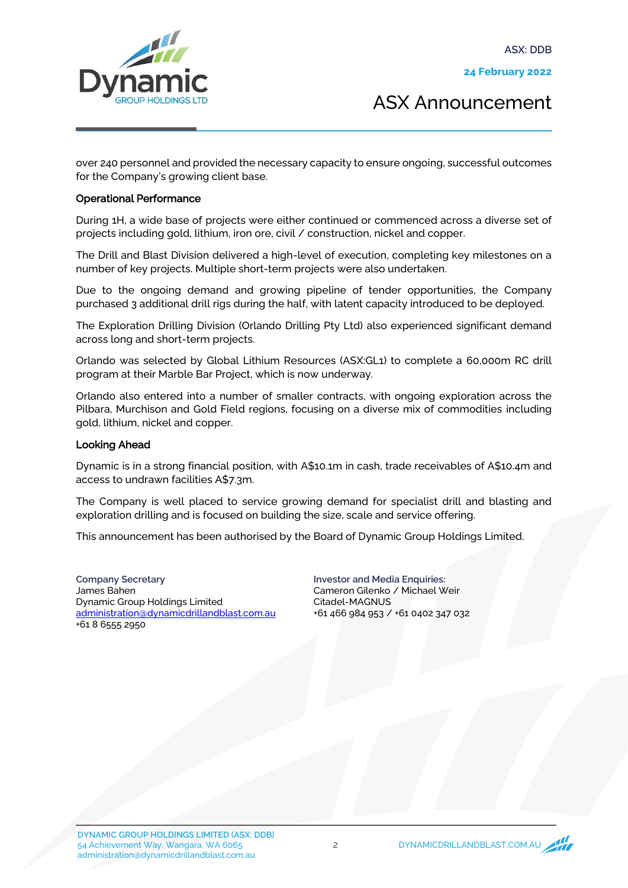**ASX: DDB**



ASX Announcement

over 240 personnel and provided the necessary capacity to ensure ongoing, successful outcomes for the Company's growing client base.

#### Operational Performance

During 1H, a wide base of projects were either continued or commenced across a diverse set of projects including gold, lithium, iron ore, civil / construction, nickel and copper.

The Drill and Blast Division delivered a high-level of execution, completing key milestones on a number of key projects. Multiple short-term projects were also undertaken.

Due to the ongoing demand and growing pipeline of tender opportunities, the Company purchased 3 additional drill rigs during the half, with latent capacity introduced to be deployed.

The Exploration Drilling Division (Orlando Drilling Pty Ltd) also experienced significant demand across long and short-term projects.

Orlando was selected by Global Lithium Resources (ASX:GL1) to complete a 60,000m RC drill program at their Marble Bar Project, which is now underway.

Orlando also entered into a number of smaller contracts, with ongoing exploration across the Pilbara, Murchison and Gold Field regions, focusing on a diverse mix of commodities including gold, lithium, nickel and copper.

#### Looking Ahead

Dynamic is in a strong financial position, with A\$10.1m in cash, trade receivables of A\$10.4m and access to undrawn facilities A\$7.3m.

The Company is well placed to service growing demand for specialist drill and blasting and exploration drilling and is focused on building the size, scale and service offering.

This announcement has been authorised by the Board of Dynamic Group Holdings Limited.

**Company Secretary** James Bahen Dynamic Group Holdings Limited administration@dynamicdrillandblast.com.au +61 8 6555 2950

**Investor and Media Enquiries:** Cameron Gilenko / Michael Weir Citadel-MAGNUS +61 466 984 953 / +61 0402 347 032